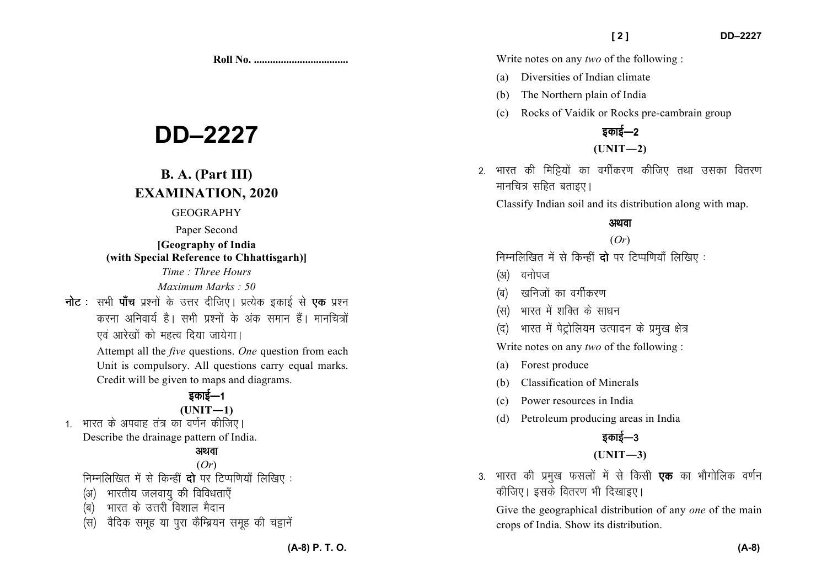**Roll No. ...................................** 

# **DD–2227**

# **B. A. (Part III) EXAMINATION, 2020**

#### GEOGRAPHY

### Paper Second **[Geography of India**

**(with Special Reference to Chhattisgarh)]**

*Time : Three Hours Maximum Marks : 50*

**नोट** : सभी **पाँच** प्रश्नों के उत्तर दीजिए। प्रत्येक इकाई से **एक** प्रश्न करना अनिवार्य है। सभी प्रश्नों के अंक समान हैं। मानचित्रों एवं आरेखों को महत्व दिया जायेगा।

> Attempt all the *five* questions. *One* question from each Unit is compulsory. All questions carry equal marks. Credit will be given to maps and diagrams.

# डकाई—1

#### **(UNIT—1)**

1. भारत के अपवाह तंत्र का वर्णन कीजिए। Describe the drainage pattern of India.

## अथवा

(*Or*) निम्नलिखित में से किन्हीं **दो** पर टिप्पणियाँ लिखिए :

- (अ) भारतीय जलवाय की विविधताएँ
- $\overline{q}$ ) भारत के उत्तरी विशाल मैदान
- (स) वैदिक समूह या पुरा कैम्ब्रियन समूह की चट्टानें

Write notes on any *two* of the following :

- (a) Diversities of Indian climate
- (b) The Northern plain of India
- (c) Rocks of Vaidik or Rocks pre-cambrain group

## डकाई $-2$ **(UNIT—2)**

2. भारत की मिट्टियों का वर्गीकरण कीजिए तथा उसका वितरण मानचित्र सहित बताइए।

Classify Indian soil and its distribution along with map.

## अथवा

## (*Or*)

निम्नलिखित में से किन्हीं **दो** पर टिप्पणियाँ लिखिए:

- (अ) वनोपज
- (ब) खनिजों का वर्गीकरण
- (स) भारत में शक्ति के साधन
- (द) भारत में पेट्रोलियम उत्पादन के प्रमुख क्षेत्र

Write notes on any *two* of the following :

- (a) Forest produce
- (b) Classification of Minerals
- (c) Power resources in India
- (d) Petroleum producing areas in India

## डकाई— $3$

## **(UNIT—3)**

3. भारत की प्रमुख फसलों में से किसी **एक** का भौगोलिक वर्णन कीजिए। इसके वितरण भी दिखाइए।

Give the geographical distribution of any *one* of the main crops of India. Show its distribution.